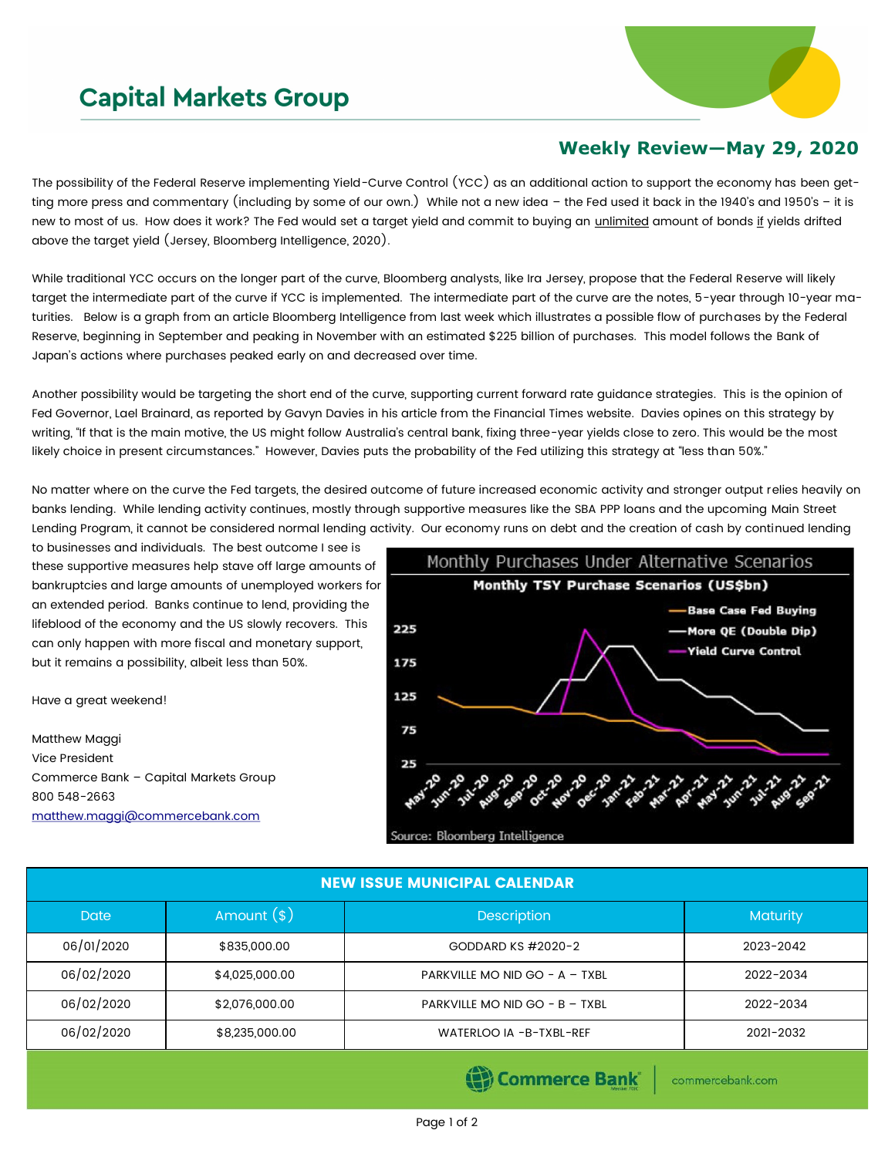## **Capital Markets Group**



## **Weekly Review—May 29, 2020**

The possibility of the Federal Reserve implementing Yield-Curve Control (YCC) as an additional action to support the economy has been getting more press and commentary (including by some of our own.) While not a new idea – the Fed used it back in the 1940's and 1950's – it is new to most of us. How does it work? The Fed would set a target yield and commit to buying an *unlimited* amount of bonds if yields drifted above the target yield (Jersey, Bloomberg Intelligence, 2020).

While traditional YCC occurs on the longer part of the curve, Bloomberg analysts, like Ira Jersey, propose that the Federal Reserve will likely target the intermediate part of the curve if YCC is implemented. The intermediate part of the curve are the notes, 5-year through 10-year maturities. Below is a graph from an article Bloomberg Intelligence from last week which illustrates a possible flow of purchases by the Federal Reserve, beginning in September and peaking in November with an estimated \$225 billion of purchases. This model follows the Bank of Japan's actions where purchases peaked early on and decreased over time.

Another possibility would be targeting the short end of the curve, supporting current forward rate guidance strategies. This is the opinion of Fed Governor, Lael Brainard, as reported by Gavyn Davies in his article from the Financial Times website. Davies opines on this strategy by writing, "If that is the main motive, the US might follow Australia's central bank, fixing three-year yields close to zero. This would be the most likely choice in present circumstances." However, Davies puts the probability of the Fed utilizing this strategy at "less than 50%."

No matter where on the curve the Fed targets, the desired outcome of future increased economic activity and stronger output relies heavily on banks lending. While lending activity continues, mostly through supportive measures like the SBA PPP loans and the upcoming Main Street Lending Program, it cannot be considered normal lending activity. Our economy runs on debt and the creation of cash by continued lending

to businesses and individuals. The best outcome I see is these supportive measures help stave off large amounts of bankruptcies and large amounts of unemployed workers for an extended period. Banks continue to lend, providing the lifeblood of the economy and the US slowly recovers. This can only happen with more fiscal and monetary support, but it remains a possibility, albeit less than 50%.

Have a great weekend!

Matthew Maggi Vice President Commerce Bank – Capital Markets Group 800 548-2663 [matthew.maggi@commercebank.com](mailto:matthew.maggi@commercebank.com)



Source: Bloomberg Intelligence

| <b>NEW ISSUE MUNICIPAL CALENDAR</b> |                |                                  |                 |  |  |  |  |  |
|-------------------------------------|----------------|----------------------------------|-----------------|--|--|--|--|--|
| Date                                | Amount $(*)$   | <b>Description</b>               | <b>Maturity</b> |  |  |  |  |  |
| 06/01/2020                          | \$835,000.00   | GODDARD KS #2020-2               | 2023-2042       |  |  |  |  |  |
| 06/02/2020                          | \$4,025,000.00 | PARKVILLE MO NID GO - $A$ - TXBL | 2022-2034       |  |  |  |  |  |
| 06/02/2020                          | \$2,076,000.00 | PARKVILLE MO NID GO - B - TXBL   | 2022-2034       |  |  |  |  |  |
| 06/02/2020                          | \$8,235,000.00 | WATERLOO IA -B-TXBL-REF          | 2021-2032       |  |  |  |  |  |

(B) Commerce Bank

commercebank.com